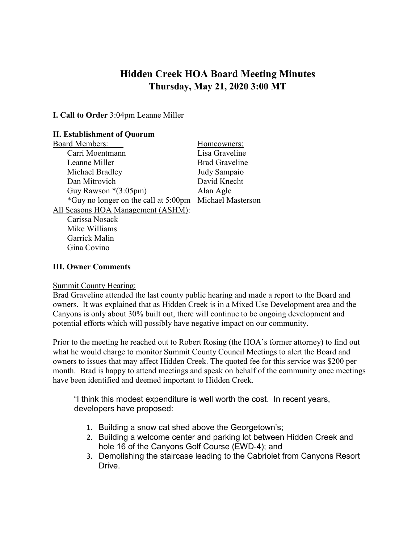# **Hidden Creek HOA Board Meeting Minutes Thursday, May 21, 2020 3:00 MT**

**I. Call to Order** 3:04pm Leanne Miller

# **II. Establishment of Quorum**

| <b>Board Members:</b>                | Homeowners:           |
|--------------------------------------|-----------------------|
| Carri Moentmann                      | Lisa Graveline        |
| Leanne Miller                        | <b>Brad Graveline</b> |
| Michael Bradley                      | Judy Sampaio          |
| Dan Mitrovich                        | David Knecht          |
| Guy Rawson $*(3:05pm)$               | Alan Agle             |
| *Guy no longer on the call at 5:00pm | Michael Masterson     |
| All Seasons HOA Management (ASHM):   |                       |
|                                      |                       |

Carissa Nosack Mike Williams Garrick Malin Gina Covino

# **III. Owner Comments**

## Summit County Hearing:

Brad Graveline attended the last county public hearing and made a report to the Board and owners. It was explained that as Hidden Creek is in a Mixed Use Development area and the Canyons is only about 30% built out, there will continue to be ongoing development and potential efforts which will possibly have negative impact on our community.

Prior to the meeting he reached out to Robert Rosing (the HOA's former attorney) to find out what he would charge to monitor Summit County Council Meetings to alert the Board and owners to issues that may affect Hidden Creek. The quoted fee for this service was \$200 per month. Brad is happy to attend meetings and speak on behalf of the community once meetings have been identified and deemed important to Hidden Creek.

"I think this modest expenditure is well worth the cost. In recent years, developers have proposed:

- 1. Building a snow cat shed above the Georgetown's;
- 2. Building a welcome center and parking lot between Hidden Creek and hole 16 of the Canyons Golf Course (EWD-4); and
- 3. Demolishing the staircase leading to the Cabriolet from Canyons Resort Drive.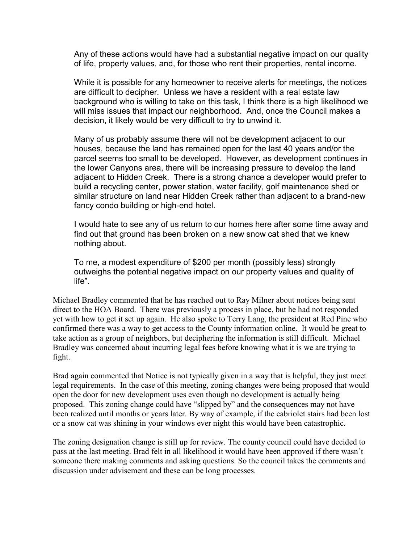Any of these actions would have had a substantial negative impact on our quality of life, property values, and, for those who rent their properties, rental income.

While it is possible for any homeowner to receive alerts for meetings, the notices are difficult to decipher. Unless we have a resident with a real estate law background who is willing to take on this task, I think there is a high likelihood we will miss issues that impact our neighborhood. And, once the Council makes a decision, it likely would be very difficult to try to unwind it.

Many of us probably assume there will not be development adjacent to our houses, because the land has remained open for the last 40 years and/or the parcel seems too small to be developed. However, as development continues in the lower Canyons area, there will be increasing pressure to develop the land adjacent to Hidden Creek. There is a strong chance a developer would prefer to build a recycling center, power station, water facility, golf maintenance shed or similar structure on land near Hidden Creek rather than adjacent to a brand-new fancy condo building or high-end hotel.

I would hate to see any of us return to our homes here after some time away and find out that ground has been broken on a new snow cat shed that we knew nothing about.

To me, a modest expenditure of \$200 per month (possibly less) strongly outweighs the potential negative impact on our property values and quality of life".

Michael Bradley commented that he has reached out to Ray Milner about notices being sent direct to the HOA Board. There was previously a process in place, but he had not responded yet with how to get it set up again. He also spoke to Terry Lang, the president at Red Pine who confirmed there was a way to get access to the County information online. It would be great to take action as a group of neighbors, but deciphering the information is still difficult. Michael Bradley was concerned about incurring legal fees before knowing what it is we are trying to fight.

Brad again commented that Notice is not typically given in a way that is helpful, they just meet legal requirements. In the case of this meeting, zoning changes were being proposed that would open the door for new development uses even though no development is actually being proposed. This zoning change could have "slipped by" and the consequences may not have been realized until months or years later. By way of example, if the cabriolet stairs had been lost or a snow cat was shining in your windows ever night this would have been catastrophic.

The zoning designation change is still up for review. The county council could have decided to pass at the last meeting. Brad felt in all likelihood it would have been approved if there wasn't someone there making comments and asking questions. So the council takes the comments and discussion under advisement and these can be long processes.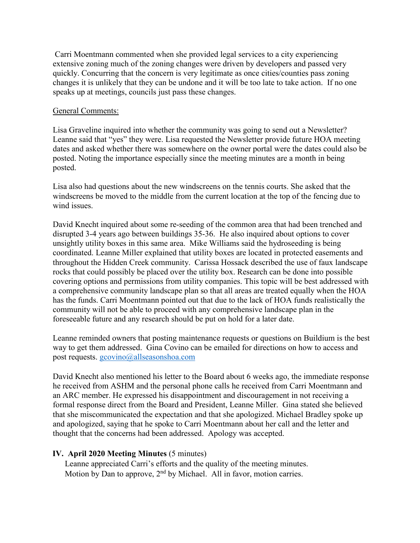Carri Moentmann commented when she provided legal services to a city experiencing extensive zoning much of the zoning changes were driven by developers and passed very quickly. Concurring that the concern is very legitimate as once cities/counties pass zoning changes it is unlikely that they can be undone and it will be too late to take action. If no one speaks up at meetings, councils just pass these changes.

#### General Comments:

Lisa Graveline inquired into whether the community was going to send out a Newsletter? Leanne said that "yes" they were. Lisa requested the Newsletter provide future HOA meeting dates and asked whether there was somewhere on the owner portal were the dates could also be posted. Noting the importance especially since the meeting minutes are a month in being posted.

Lisa also had questions about the new windscreens on the tennis courts. She asked that the windscreens be moved to the middle from the current location at the top of the fencing due to wind issues.

David Knecht inquired about some re-seeding of the common area that had been trenched and disrupted 3-4 years ago between buildings 35-36. He also inquired about options to cover unsightly utility boxes in this same area. Mike Williams said the hydroseeding is being coordinated. Leanne Miller explained that utility boxes are located in protected easements and throughout the Hidden Creek community. Carissa Hossack described the use of faux landscape rocks that could possibly be placed over the utility box. Research can be done into possible covering options and permissions from utility companies. This topic will be best addressed with a comprehensive community landscape plan so that all areas are treated equally when the HOA has the funds. Carri Moentmann pointed out that due to the lack of HOA funds realistically the community will not be able to proceed with any comprehensive landscape plan in the foreseeable future and any research should be put on hold for a later date.

Leanne reminded owners that posting maintenance requests or questions on Buildium is the best way to get them addressed. Gina Covino can be emailed for directions on how to access and post requests. [gcovino@allseasonshoa.com](mailto:gcovino@allseasonshoa.com)

David Knecht also mentioned his letter to the Board about 6 weeks ago, the immediate response he received from ASHM and the personal phone calls he received from Carri Moentmann and an ARC member. He expressed his disappointment and discouragement in not receiving a formal response direct from the Board and President, Leanne Miller. Gina stated she believed that she miscommunicated the expectation and that she apologized. Michael Bradley spoke up and apologized, saying that he spoke to Carri Moentmann about her call and the letter and thought that the concerns had been addressed. Apology was accepted.

## **IV. April 2020 Meeting Minutes** (5 minutes)

Leanne appreciated Carri's efforts and the quality of the meeting minutes. Motion by Dan to approve,  $2<sup>nd</sup>$  by Michael. All in favor, motion carries.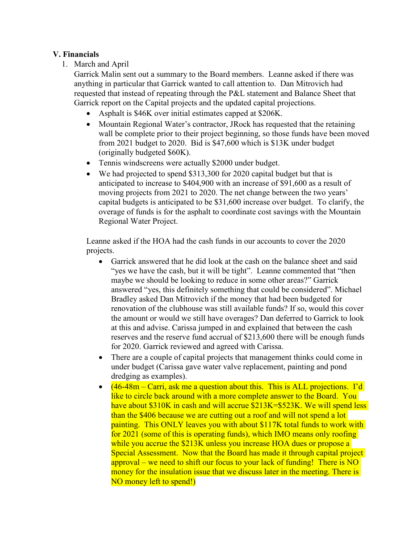# **V. Financials**

1. March and April

Garrick Malin sent out a summary to the Board members. Leanne asked if there was anything in particular that Garrick wanted to call attention to. Dan Mitrovich had requested that instead of repeating through the P&L statement and Balance Sheet that Garrick report on the Capital projects and the updated capital projections.

- Asphalt is \$46K over initial estimates capped at \$206K.
- Mountain Regional Water's contractor, JRock has requested that the retaining wall be complete prior to their project beginning, so those funds have been moved from 2021 budget to 2020. Bid is \$47,600 which is \$13K under budget (originally budgeted \$60K).
- Tennis windscreens were actually \$2000 under budget.
- We had projected to spend \$313,300 for 2020 capital budget but that is anticipated to increase to \$404,900 with an increase of \$91,600 as a result of moving projects from 2021 to 2020. The net change between the two years' capital budgets is anticipated to be \$31,600 increase over budget. To clarify, the overage of funds is for the asphalt to coordinate cost savings with the Mountain Regional Water Project.

Leanne asked if the HOA had the cash funds in our accounts to cover the 2020 projects.

- Garrick answered that he did look at the cash on the balance sheet and said "yes we have the cash, but it will be tight". Leanne commented that "then maybe we should be looking to reduce in some other areas?" Garrick answered "yes, this definitely something that could be considered". Michael Bradley asked Dan Mitrovich if the money that had been budgeted for renovation of the clubhouse was still available funds? If so, would this cover the amount or would we still have overages? Dan deferred to Garrick to look at this and advise. Carissa jumped in and explained that between the cash reserves and the reserve fund accrual of \$213,600 there will be enough funds for 2020. Garrick reviewed and agreed with Carissa.
- There are a couple of capital projects that management thinks could come in under budget (Carissa gave water valve replacement, painting and pond dredging as examples).
- $(46-48m Carri, ask me a question about this. This is ALL projections. I'd.$ like to circle back around with a more complete answer to the Board. You have about \$310K in cash and will accrue \$213K=\$523K. We will spend less than the \$406 because we are cutting out a roof and will not spend a lot painting. This ONLY leaves you with about \$117K total funds to work with for 2021 (some of this is operating funds), which IMO means only roofing while you accrue the \$213K unless you increase HOA dues or propose a Special Assessment. Now that the Board has made it through capital project approval – we need to shift our focus to your lack of funding! There is NO money for the insulation issue that we discuss later in the meeting. There is NO money left to spend!)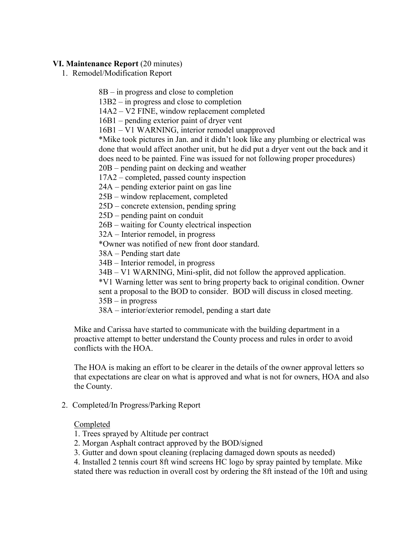# **VI. Maintenance Report** (20 minutes)

1. Remodel/Modification Report

8B – in progress and close to completion

13B2 – in progress and close to completion

14A2 – V2 FINE, window replacement completed

16B1 – pending exterior paint of dryer vent

16B1 – V1 WARNING, interior remodel unapproved

\*Mike took pictures in Jan. and it didn't look like any plumbing or electrical was done that would affect another unit, but he did put a dryer vent out the back and it does need to be painted. Fine was issued for not following proper procedures)

20B – pending paint on decking and weather

17A2 – completed, passed county inspection

- 24A pending exterior paint on gas line
- 25B window replacement, completed

25D – concrete extension, pending spring

25D – pending paint on conduit

26B – waiting for County electrical inspection

32A – Interior remodel, in progress

\*Owner was notified of new front door standard.

38A – Pending start date

34B – Interior remodel, in progress

34B – V1 WARNING, Mini-split, did not follow the approved application.

\*V1 Warning letter was sent to bring property back to original condition. Owner

sent a proposal to the BOD to consider. BOD will discuss in closed meeting.

 $35B - in$  progress

38A – interior/exterior remodel, pending a start date

Mike and Carissa have started to communicate with the building department in a proactive attempt to better understand the County process and rules in order to avoid conflicts with the HOA.

The HOA is making an effort to be clearer in the details of the owner approval letters so that expectations are clear on what is approved and what is not for owners, HOA and also the County.

2. Completed/In Progress/Parking Report

Completed

- 1. Trees sprayed by Altitude per contract
- 2. Morgan Asphalt contract approved by the BOD/signed
- 3. Gutter and down spout cleaning (replacing damaged down spouts as needed)

4. Installed 2 tennis court 8ft wind screens HC logo by spray painted by template. Mike stated there was reduction in overall cost by ordering the 8ft instead of the 10ft and using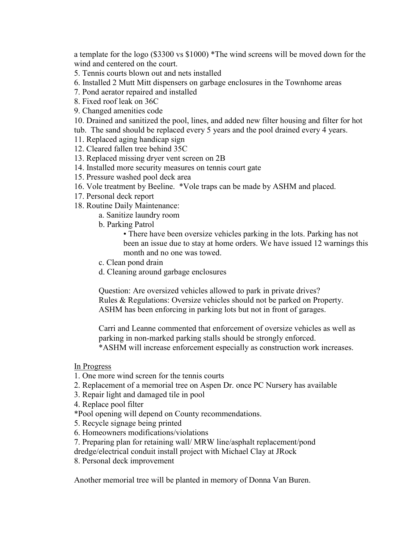a template for the logo (\$3300 vs \$1000) \*The wind screens will be moved down for the wind and centered on the court.

- 5. Tennis courts blown out and nets installed
- 6. Installed 2 Mutt Mitt dispensers on garbage enclosures in the Townhome areas
- 7. Pond aerator repaired and installed
- 8. Fixed roof leak on 36C
- 9. Changed amenities code
- 10. Drained and sanitized the pool, lines, and added new filter housing and filter for hot
- tub. The sand should be replaced every 5 years and the pool drained every 4 years.
- 11. Replaced aging handicap sign
- 12. Cleared fallen tree behind 35C
- 13. Replaced missing dryer vent screen on 2B
- 14. Installed more security measures on tennis court gate
- 15. Pressure washed pool deck area
- 16. Vole treatment by Beeline. \*Vole traps can be made by ASHM and placed.
- 17. Personal deck report
- 18. Routine Daily Maintenance:
	- a. Sanitize laundry room
	- b. Parking Patrol
		- There have been oversize vehicles parking in the lots. Parking has not been an issue due to stay at home orders. We have issued 12 warnings this month and no one was towed.
	- c. Clean pond drain
	- d. Cleaning around garbage enclosures

Question: Are oversized vehicles allowed to park in private drives? Rules & Regulations: Oversize vehicles should not be parked on Property. ASHM has been enforcing in parking lots but not in front of garages.

Carri and Leanne commented that enforcement of oversize vehicles as well as parking in non-marked parking stalls should be strongly enforced. \*ASHM will increase enforcement especially as construction work increases.

In Progress

- 1. One more wind screen for the tennis courts
- 2. Replacement of a memorial tree on Aspen Dr. once PC Nursery has available
- 3. Repair light and damaged tile in pool
- 4. Replace pool filter
- \*Pool opening will depend on County recommendations.
- 5. Recycle signage being printed
- 6. Homeowners modifications/violations
- 7. Preparing plan for retaining wall/ MRW line/asphalt replacement/pond
- dredge/electrical conduit install project with Michael Clay at JRock
- 8. Personal deck improvement

Another memorial tree will be planted in memory of Donna Van Buren.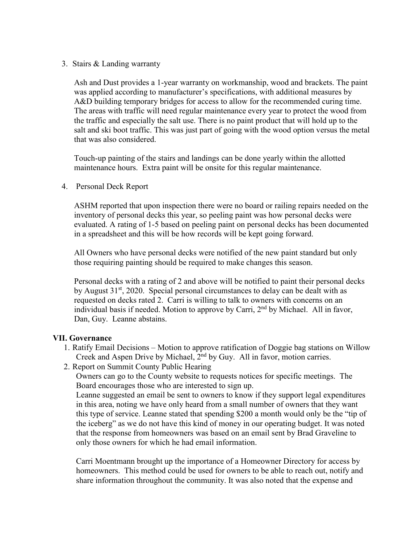3. Stairs & Landing warranty

Ash and Dust provides a 1-year warranty on workmanship, wood and brackets. The paint was applied according to manufacturer's specifications, with additional measures by A&D building temporary bridges for access to allow for the recommended curing time. The areas with traffic will need regular maintenance every year to protect the wood from the traffic and especially the salt use. There is no paint product that will hold up to the salt and ski boot traffic. This was just part of going with the wood option versus the metal that was also considered.

Touch-up painting of the stairs and landings can be done yearly within the allotted maintenance hours. Extra paint will be onsite for this regular maintenance.

4. Personal Deck Report

ASHM reported that upon inspection there were no board or railing repairs needed on the inventory of personal decks this year, so peeling paint was how personal decks were evaluated. A rating of 1-5 based on peeling paint on personal decks has been documented in a spreadsheet and this will be how records will be kept going forward.

All Owners who have personal decks were notified of the new paint standard but only those requiring painting should be required to make changes this season.

Personal decks with a rating of 2 and above will be notified to paint their personal decks by August  $31<sup>st</sup>$ , 2020. Special personal circumstances to delay can be dealt with as requested on decks rated 2. Carri is willing to talk to owners with concerns on an individual basis if needed. Motion to approve by Carri,  $2<sup>nd</sup>$  by Michael. All in favor, Dan, Guy. Leanne abstains.

## **VII. Governance**

- 1. Ratify Email Decisions Motion to approve ratification of Doggie bag stations on Willow Creek and Aspen Drive by Michael, 2nd by Guy. All in favor, motion carries.
- 2. Report on Summit County Public Hearing

Owners can go to the County website to requests notices for specific meetings. The Board encourages those who are interested to sign up.

Leanne suggested an email be sent to owners to know if they support legal expenditures in this area, noting we have only heard from a small number of owners that they want this type of service. Leanne stated that spending \$200 a month would only be the "tip of the iceberg" as we do not have this kind of money in our operating budget. It was noted that the response from homeowners was based on an email sent by Brad Graveline to only those owners for which he had email information.

Carri Moentmann brought up the importance of a Homeowner Directory for access by homeowners. This method could be used for owners to be able to reach out, notify and share information throughout the community. It was also noted that the expense and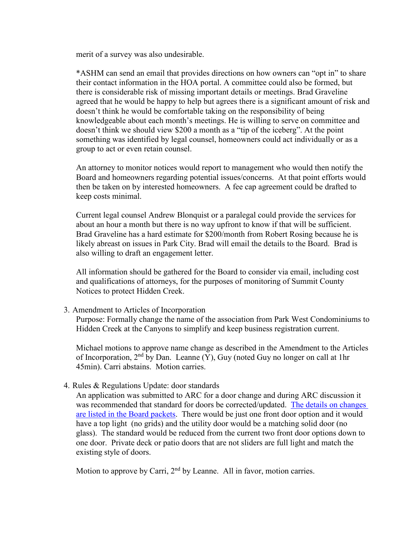merit of a survey was also undesirable.

\*ASHM can send an email that provides directions on how owners can "opt in" to share their contact information in the HOA portal. A committee could also be formed, but there is considerable risk of missing important details or meetings. Brad Graveline agreed that he would be happy to help but agrees there is a significant amount of risk and doesn't think he would be comfortable taking on the responsibility of being knowledgeable about each month's meetings. He is willing to serve on committee and doesn't think we should view \$200 a month as a "tip of the iceberg". At the point something was identified by legal counsel, homeowners could act individually or as a group to act or even retain counsel.

An attorney to monitor notices would report to management who would then notify the Board and homeowners regarding potential issues/concerns. At that point efforts would then be taken on by interested homeowners. A fee cap agreement could be drafted to keep costs minimal.

Current legal counsel Andrew Blonquist or a paralegal could provide the services for about an hour a month but there is no way upfront to know if that will be sufficient. Brad Graveline has a hard estimate for \$200/month from Robert Rosing because he is likely abreast on issues in Park City. Brad will email the details to the Board. Brad is also willing to draft an engagement letter.

All information should be gathered for the Board to consider via email, including cost and qualifications of attorneys, for the purposes of monitoring of Summit County Notices to protect Hidden Creek.

3. Amendment to Articles of Incorporation

Purpose: Formally change the name of the association from Park West Condominiums to Hidden Creek at the Canyons to simplify and keep business registration current.

Michael motions to approve name change as described in the Amendment to the Articles of Incorporation,  $2<sup>nd</sup>$  by Dan. Leanne (Y), Guy (noted Guy no longer on call at 1hr 45min). Carri abstains. Motion carries.

4. Rules & Regulations Update: door standards

An application was submitted to ARC for a door change and during ARC discussion it was recommended that standard for doors be corrected/updated. The details on changes are listed in the Board packets. There would be just one front door option and it would have a top light (no grids) and the utility door would be a matching solid door (no glass). The standard would be reduced from the current two front door options down to one door. Private deck or patio doors that are not sliders are full light and match the existing style of doors.

Motion to approve by Carri, 2<sup>nd</sup> by Leanne. All in favor, motion carries.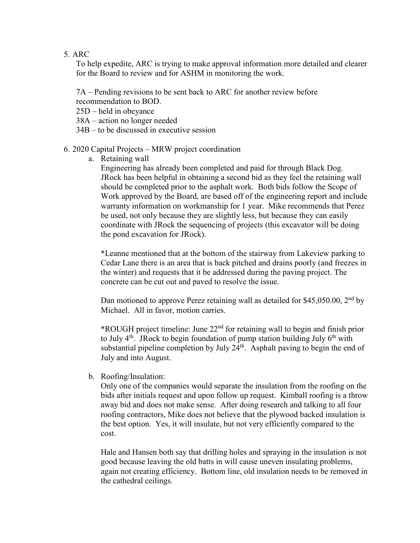## 5. ARC

To help expedite, ARC is trying to make approval information more detailed and clearer for the Board to review and for ASHM in monitoring the work.

7A – Pending revisions to be sent back to ARC for another review before recommendation to BOD.

- 25D held in obeyance
- 38A action no longer needed
- 34B to be discussed in executive session

#### 6. 2020 Capital Projects – MRW project coordination

a. Retaining wall

Engineering has already been completed and paid for through Black Dog. JRock has been helpful in obtaining a second bid as they feel the retaining wall should be completed prior to the asphalt work. Both bids follow the Scope of Work approved by the Board, are based off of the engineering report and include warranty information on workmanship for 1 year. Mike recommends that Perez be used, not only because they are slightly less, but because they can easily coordinate with JRock the sequencing of projects (this excavator will be doing the pond excavation for JRock).

\*Leanne mentioned that at the bottom of the stairway from Lakeview parking to Cedar Lane there is an area that is back pitched and drains poorly (and freezes in the winter) and requests that it be addressed during the paving project. The concrete can be cut out and paved to resolve the issue.

Dan motioned to approve Perez retaining wall as detailed for \$45,050.00, 2<sup>nd</sup> by Michael. All in favor, motion carries.

\*ROUGH project timeline: June  $22<sup>nd</sup>$  for retaining wall to begin and finish prior to July  $4<sup>th</sup>$ . JRock to begin foundation of pump station building July  $6<sup>th</sup>$  with substantial pipeline completion by July  $24<sup>th</sup>$ . Asphalt paving to begin the end of July and into August.

b. Roofing/Insulation:

Only one of the companies would separate the insulation from the roofing on the bids after initials request and upon follow up request. Kimball roofing is a throw away bid and does not make sense. After doing research and talking to all four roofing contractors, Mike does not believe that the plywood backed insulation is the best option. Yes, it will insulate, but not very efficiently compared to the cost.

Hale and Hansen both say that drilling holes and spraying in the insulation is not good because leaving the old batts in will cause uneven insulating problems, again not creating efficiency. Bottom line, old insulation needs to be removed in the cathedral ceilings.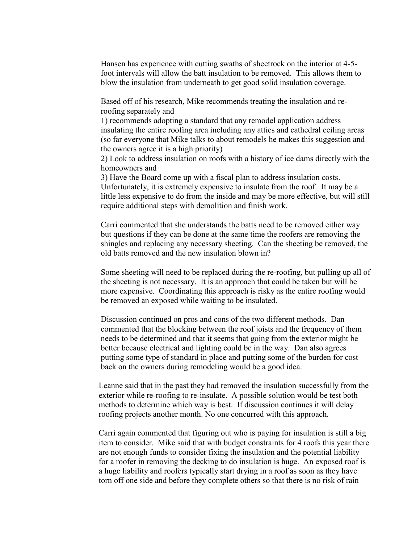Hansen has experience with cutting swaths of sheetrock on the interior at 4-5 foot intervals will allow the batt insulation to be removed. This allows them to blow the insulation from underneath to get good solid insulation coverage.

Based off of his research, Mike recommends treating the insulation and reroofing separately and

1) recommends adopting a standard that any remodel application address insulating the entire roofing area including any attics and cathedral ceiling areas (so far everyone that Mike talks to about remodels he makes this suggestion and the owners agree it is a high priority)

2) Look to address insulation on roofs with a history of ice dams directly with the homeowners and

3) Have the Board come up with a fiscal plan to address insulation costs. Unfortunately, it is extremely expensive to insulate from the roof. It may be a little less expensive to do from the inside and may be more effective, but will still require additional steps with demolition and finish work.

Carri commented that she understands the batts need to be removed either way but questions if they can be done at the same time the roofers are removing the shingles and replacing any necessary sheeting. Can the sheeting be removed, the old batts removed and the new insulation blown in?

Some sheeting will need to be replaced during the re-roofing, but pulling up all of the sheeting is not necessary. It is an approach that could be taken but will be more expensive. Coordinating this approach is risky as the entire roofing would be removed an exposed while waiting to be insulated.

Discussion continued on pros and cons of the two different methods. Dan commented that the blocking between the roof joists and the frequency of them needs to be determined and that it seems that going from the exterior might be better because electrical and lighting could be in the way. Dan also agrees putting some type of standard in place and putting some of the burden for cost back on the owners during remodeling would be a good idea.

Leanne said that in the past they had removed the insulation successfully from the exterior while re-roofing to re-insulate. A possible solution would be test both methods to determine which way is best. If discussion continues it will delay roofing projects another month. No one concurred with this approach.

Carri again commented that figuring out who is paying for insulation is still a big item to consider. Mike said that with budget constraints for 4 roofs this year there are not enough funds to consider fixing the insulation and the potential liability for a roofer in removing the decking to do insulation is huge. An exposed roof is a huge liability and roofers typically start drying in a roof as soon as they have torn off one side and before they complete others so that there is no risk of rain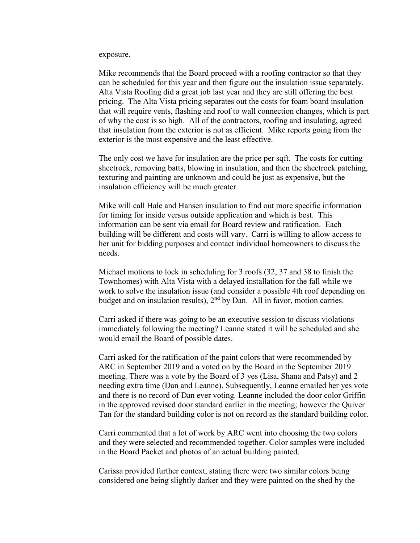exposure.

Mike recommends that the Board proceed with a roofing contractor so that they can be scheduled for this year and then figure out the insulation issue separately. Alta Vista Roofing did a great job last year and they are still offering the best pricing. The Alta Vista pricing separates out the costs for foam board insulation that will require vents, flashing and roof to wall connection changes, which is part of why the cost is so high. All of the contractors, roofing and insulating, agreed that insulation from the exterior is not as efficient. Mike reports going from the exterior is the most expensive and the least effective.

The only cost we have for insulation are the price per sqft. The costs for cutting sheetrock, removing batts, blowing in insulation, and then the sheetrock patching, texturing and painting are unknown and could be just as expensive, but the insulation efficiency will be much greater.

Mike will call Hale and Hansen insulation to find out more specific information for timing for inside versus outside application and which is best. This information can be sent via email for Board review and ratification. Each building will be different and costs will vary. Carri is willing to allow access to her unit for bidding purposes and contact individual homeowners to discuss the needs.

Michael motions to lock in scheduling for 3 roofs (32, 37 and 38 to finish the Townhomes) with Alta Vista with a delayed installation for the fall while we work to solve the insulation issue (and consider a possible 4th roof depending on budget and on insulation results),  $2<sup>nd</sup>$  by Dan. All in favor, motion carries.

Carri asked if there was going to be an executive session to discuss violations immediately following the meeting? Leanne stated it will be scheduled and she would email the Board of possible dates.

Carri asked for the ratification of the paint colors that were recommended by ARC in September 2019 and a voted on by the Board in the September 2019 meeting. There was a vote by the Board of 3 yes (Lisa, Shana and Patsy) and 2 needing extra time (Dan and Leanne). Subsequently, Leanne emailed her yes vote and there is no record of Dan ever voting. Leanne included the door color Griffin in the approved revised door standard earlier in the meeting; however the Quiver Tan for the standard building color is not on record as the standard building color.

Carri commented that a lot of work by ARC went into choosing the two colors and they were selected and recommended together. Color samples were included in the Board Packet and photos of an actual building painted.

Carissa provided further context, stating there were two similar colors being considered one being slightly darker and they were painted on the shed by the